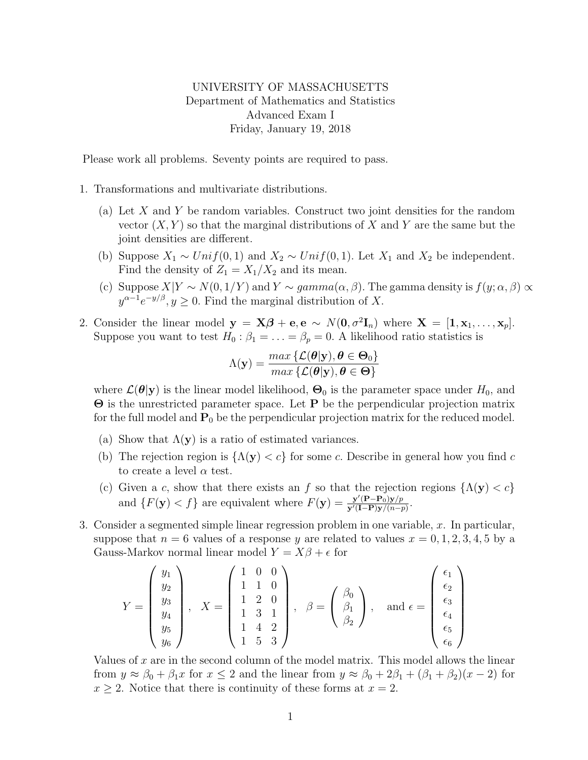## UNIVERSITY OF MASSACHUSETTS Department of Mathematics and Statistics Advanced Exam I Friday, January 19, 2018

Please work all problems. Seventy points are required to pass.

- 1. Transformations and multivariate distributions.
	- (a) Let X and Y be random variables. Construct two joint densities for the random vector  $(X, Y)$  so that the marginal distributions of X and Y are the same but the joint densities are different.
	- (b) Suppose  $X_1 \sim Unif(0,1)$  and  $X_2 \sim Unif(0,1)$ . Let  $X_1$  and  $X_2$  be independent. Find the density of  $Z_1 = X_1/X_2$  and its mean.
	- (c) Suppose  $X|Y \sim N(0, 1/Y)$  and  $Y \sim gamma(\alpha, \beta)$ . The gamma density is  $f(y; \alpha, \beta) \propto$  $y^{\alpha-1}e^{-y/\beta}, y \ge 0$ . Find the marginal distribution of X.
- 2. Consider the linear model  $y = X\beta + e, e \sim N(0, \sigma^2 I_n)$  where  $X = [1, x_1, \ldots, x_p]$ . Suppose you want to test  $H_0: \beta_1 = \ldots = \beta_p = 0$ . A likelihood ratio statistics is

$$
\Lambda(\mathbf{y}) = \frac{\max\left\{ \mathcal{L}(\boldsymbol{\theta}|\mathbf{y}), \boldsymbol{\theta} \in \boldsymbol{\Theta}_0 \right\}}{\max\left\{ \mathcal{L}(\boldsymbol{\theta}|\mathbf{y}), \boldsymbol{\theta} \in \boldsymbol{\Theta} \right\}}
$$

where  $\mathcal{L}(\theta|\mathbf{y})$  is the linear model likelihood,  $\Theta_0$  is the parameter space under  $H_0$ , and Θ is the unrestricted parameter space. Let P be the perpendicular projection matrix for the full model and  $P_0$  be the perpendicular projection matrix for the reduced model.

- (a) Show that  $\Lambda(y)$  is a ratio of estimated variances.
- (b) The rejection region is  $\{\Lambda(\mathbf{y}) < c\}$  for some c. Describe in general how you find c to create a level  $\alpha$  test.
- (c) Given a c, show that there exists an f so that the rejection regions  $\{\Lambda(\mathbf{y}) < c\}$ and  $\{F(\mathbf{y}) \leq f\}$  are equivalent where  $F(\mathbf{y}) = \frac{\mathbf{y}'(\mathbf{P} - \mathbf{P}_0)\mathbf{y}/p}{\mathbf{y}'(\mathbf{I} - \mathbf{P})\mathbf{y}/(p-1)}$  $\frac{\mathbf{y}'(\mathbf{P}-\mathbf{P}_0)\mathbf{y}/p}{\mathbf{y}'(\mathbf{I}-\mathbf{P})\mathbf{y}/(n-p)}$ .
- 3. Consider a segmented simple linear regression problem in one variable,  $x$ . In particular, suppose that  $n = 6$  values of a response y are related to values  $x = 0, 1, 2, 3, 4, 5$  by a Gauss-Markov normal linear model  $Y = X\beta + \epsilon$  for

$$
Y = \begin{pmatrix} y_1 \\ y_2 \\ y_3 \\ y_4 \\ y_5 \\ y_6 \end{pmatrix}, X = \begin{pmatrix} 1 & 0 & 0 \\ 1 & 1 & 0 \\ 1 & 2 & 0 \\ 1 & 3 & 1 \\ 1 & 4 & 2 \\ 1 & 5 & 3 \end{pmatrix}, \quad \beta = \begin{pmatrix} \beta_0 \\ \beta_1 \\ \beta_2 \end{pmatrix}, \text{ and } \epsilon = \begin{pmatrix} \epsilon_1 \\ \epsilon_2 \\ \epsilon_3 \\ \epsilon_4 \\ \epsilon_5 \\ \epsilon_6 \end{pmatrix}
$$

Values of  $x$  are in the second column of the model matrix. This model allows the linear from  $y \approx \beta_0 + \beta_1 x$  for  $x \le 2$  and the linear from  $y \approx \beta_0 + 2\beta_1 + (\beta_1 + \beta_2)(x - 2)$  for  $x \geq 2$ . Notice that there is continuity of these forms at  $x = 2$ .